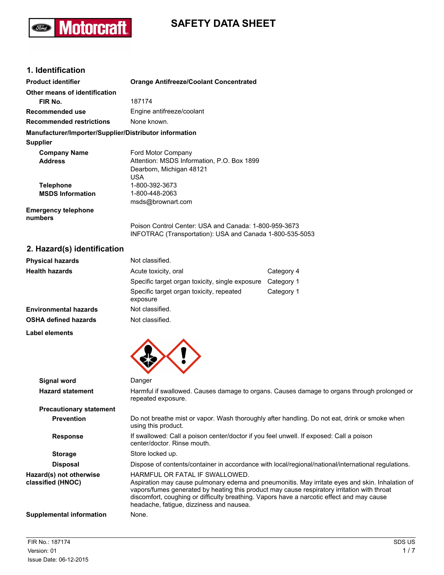# **SAFETY DATA SHEET**

## **1. Identification**

**Ford** 

**Motorcraft** 

| Other means of identification                                                                                     |  |
|-------------------------------------------------------------------------------------------------------------------|--|
| 187174<br>FIR No.                                                                                                 |  |
| Engine antifreeze/coolant<br>Recommended use                                                                      |  |
| None known.<br><b>Recommended restrictions</b>                                                                    |  |
| Manufacturer/Importer/Supplier/Distributor information                                                            |  |
| <b>Supplier</b>                                                                                                   |  |
| Ford Motor Company<br><b>Company Name</b>                                                                         |  |
| Attention: MSDS Information, P.O. Box 1899<br><b>Address</b>                                                      |  |
| Dearborn, Michigan 48121                                                                                          |  |
| USA.                                                                                                              |  |
| 1-800-392-3673<br><b>Telephone</b>                                                                                |  |
| <b>MSDS Information</b><br>1-800-448-2063                                                                         |  |
| msds@brownart.com                                                                                                 |  |
| <b>Emergency telephone</b><br>numbers                                                                             |  |
| Poison Control Center: USA and Canada: 1-800-959-3673<br>INFOTRAC (Transportation): USA and Canada 1-800-535-5053 |  |

## **2. Hazard(s) identification**

| <b>Physical hazards</b>      | Not classified.                                      |            |
|------------------------------|------------------------------------------------------|------------|
| <b>Health hazards</b>        | Acute toxicity, oral                                 | Category 4 |
|                              | Specific target organ toxicity, single exposure      | Category 1 |
|                              | Specific target organ toxicity, repeated<br>exposure | Category 1 |
| <b>Environmental hazards</b> | Not classified.                                      |            |
| <b>OSHA defined hazards</b>  | Not classified.                                      |            |
|                              |                                                      |            |

#### **Label elements**

| Signal word                                  | Danger                                                                                                                                                                                                                                                                                                                                                                    |
|----------------------------------------------|---------------------------------------------------------------------------------------------------------------------------------------------------------------------------------------------------------------------------------------------------------------------------------------------------------------------------------------------------------------------------|
| <b>Hazard statement</b>                      | Harmful if swallowed. Causes damage to organs. Causes damage to organs through prolonged or<br>repeated exposure.                                                                                                                                                                                                                                                         |
| <b>Precautionary statement</b>               |                                                                                                                                                                                                                                                                                                                                                                           |
| <b>Prevention</b>                            | Do not breathe mist or vapor. Wash thoroughly after handling. Do not eat, drink or smoke when<br>using this product.                                                                                                                                                                                                                                                      |
| <b>Response</b>                              | If swallowed: Call a poison center/doctor if you feel unwell. If exposed: Call a poison<br>center/doctor. Rinse mouth.                                                                                                                                                                                                                                                    |
| <b>Storage</b>                               | Store locked up.                                                                                                                                                                                                                                                                                                                                                          |
| <b>Disposal</b>                              | Dispose of contents/container in accordance with local/regional/national/international regulations.                                                                                                                                                                                                                                                                       |
| Hazard(s) not otherwise<br>classified (HNOC) | HARMFUL OR FATAL IF SWALLOWED.<br>Aspiration may cause pulmonary edema and pneumonitis. May irritate eyes and skin. Inhalation of<br>vapors/fumes generated by heating this product may cause respiratory irritation with throat<br>discomfort, coughing or difficulty breathing. Vapors have a narcotic effect and may cause<br>headache, fatique, dizziness and nausea. |
| <b>Supplemental information</b>              | None.                                                                                                                                                                                                                                                                                                                                                                     |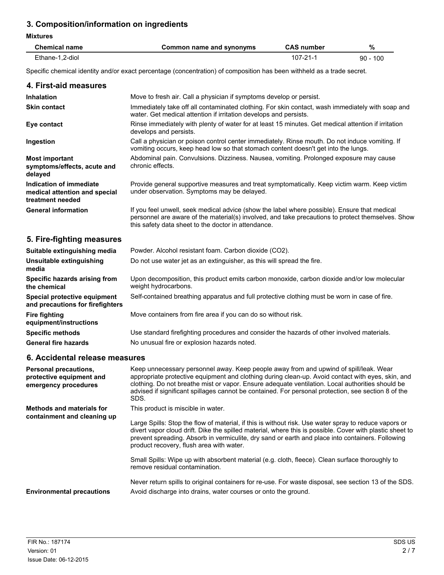## **3. Composition/information on ingredients**

**Mixtures**

| <b>Chemical name</b> | Common name and synonyms | <b>CAS number</b> | %          |
|----------------------|--------------------------|-------------------|------------|
| Ethane-1,2-diol      |                          | $107 - 21 -$      | $90 - 100$ |

Specific chemical identity and/or exact percentage (concentration) of composition has been withheld as a trade secret.

| 4. First-aid measures                                                        |                                                                                                                                                                                                                                                          |
|------------------------------------------------------------------------------|----------------------------------------------------------------------------------------------------------------------------------------------------------------------------------------------------------------------------------------------------------|
| <b>Inhalation</b>                                                            | Move to fresh air. Call a physician if symptoms develop or persist.                                                                                                                                                                                      |
| <b>Skin contact</b>                                                          | Immediately take off all contaminated clothing. For skin contact, wash immediately with soap and<br>water. Get medical attention if irritation develops and persists.                                                                                    |
| Eye contact                                                                  | Rinse immediately with plenty of water for at least 15 minutes. Get medical attention if irritation<br>develops and persists.                                                                                                                            |
| Ingestion                                                                    | Call a physician or poison control center immediately. Rinse mouth. Do not induce vomiting. If<br>vomiting occurs, keep head low so that stomach content doesn't get into the lungs.                                                                     |
| <b>Most important</b><br>symptoms/effects, acute and<br>delayed              | Abdominal pain. Convulsions. Dizziness. Nausea, vomiting. Prolonged exposure may cause<br>chronic effects.                                                                                                                                               |
| Indication of immediate<br>medical attention and special<br>treatment needed | Provide general supportive measures and treat symptomatically. Keep victim warm. Keep victim<br>under observation. Symptoms may be delayed.                                                                                                              |
| <b>General information</b>                                                   | If you feel unwell, seek medical advice (show the label where possible). Ensure that medical<br>personnel are aware of the material(s) involved, and take precautions to protect themselves. Show<br>this safety data sheet to the doctor in attendance. |
| 5. Fire-fighting measures                                                    |                                                                                                                                                                                                                                                          |
|                                                                              |                                                                                                                                                                                                                                                          |

| Suitable extinguishing media                                     | Powder. Alcohol resistant foam. Carbon dioxide (CO2).                                                               |
|------------------------------------------------------------------|---------------------------------------------------------------------------------------------------------------------|
| Unsuitable extinguishing<br>media                                | Do not use water jet as an extinguisher, as this will spread the fire.                                              |
| Specific hazards arising from<br>the chemical                    | Upon decomposition, this product emits carbon monoxide, carbon dioxide and/or low molecular<br>weight hydrocarbons. |
| Special protective equipment<br>and precautions for firefighters | Self-contained breathing apparatus and full protective clothing must be worn in case of fire.                       |
| Fire fighting<br>equipment/instructions                          | Move containers from fire area if you can do so without risk.                                                       |
| <b>Specific methods</b>                                          | Use standard firefighting procedures and consider the hazards of other involved materials.                          |
| <b>General fire hazards</b>                                      | No unusual fire or explosion hazards noted.                                                                         |

## **6. Accidental release measures**

| <b>Personal precautions,</b><br>protective equipment and<br>emergency procedures | Keep unnecessary personnel away. Keep people away from and upwind of spill/leak. Wear<br>appropriate protective equipment and clothing during clean-up. Avoid contact with eyes, skin, and<br>clothing. Do not breathe mist or vapor. Ensure adequate ventilation. Local authorities should be<br>advised if significant spillages cannot be contained. For personal protection, see section 8 of the<br>SDS. |
|----------------------------------------------------------------------------------|---------------------------------------------------------------------------------------------------------------------------------------------------------------------------------------------------------------------------------------------------------------------------------------------------------------------------------------------------------------------------------------------------------------|
| <b>Methods and materials for</b><br>containment and cleaning up                  | This product is miscible in water.<br>Large Spills: Stop the flow of material, if this is without risk. Use water spray to reduce vapors or<br>divert vapor cloud drift. Dike the spilled material, where this is possible. Cover with plastic sheet to<br>prevent spreading. Absorb in vermiculite, dry sand or earth and place into containers. Following<br>product recovery, flush area with water.       |
|                                                                                  | Small Spills: Wipe up with absorbent material (e.g. cloth, fleece). Clean surface thoroughly to<br>remove residual contamination.                                                                                                                                                                                                                                                                             |
| <b>Environmental precautions</b>                                                 | Never return spills to original containers for re-use. For waste disposal, see section 13 of the SDS.<br>Avoid discharge into drains, water courses or onto the ground.                                                                                                                                                                                                                                       |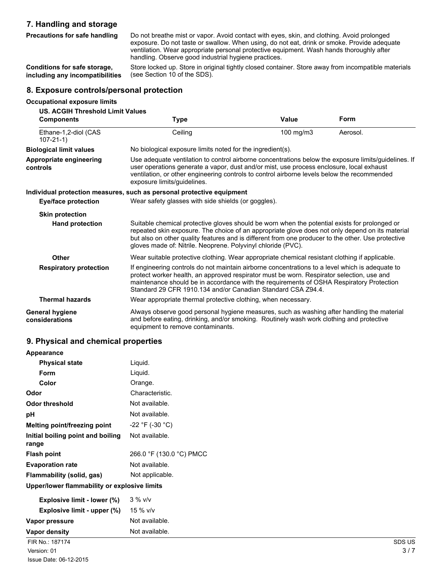## **7. Handling and storage**

**Precautions for safe handling** Do not breathe mist or vapor. Avoid contact with eyes, skin, and clothing. Avoid prolonged exposure. Do not taste or swallow. When using, do not eat, drink or smoke. Provide adequate ventilation. Wear appropriate personal protective equipment. Wash hands thoroughly after handling. Observe good industrial hygiene practices.

**Conditions for safe storage, including any incompatibilities** Store locked up. Store in original tightly closed container. Store away from incompatible materials (see Section 10 of the SDS).

### **8. Exposure controls/personal protection**

| <b>Occupational exposure limits</b>      |                                                                                                                                                                                                                                                                                                                                                                        |           |             |  |
|------------------------------------------|------------------------------------------------------------------------------------------------------------------------------------------------------------------------------------------------------------------------------------------------------------------------------------------------------------------------------------------------------------------------|-----------|-------------|--|
| <b>US. ACGIH Threshold Limit Values</b>  |                                                                                                                                                                                                                                                                                                                                                                        |           |             |  |
| <b>Components</b>                        | <b>Type</b>                                                                                                                                                                                                                                                                                                                                                            | Value     | <b>Form</b> |  |
| Ethane-1,2-diol (CAS<br>$107 - 21 - 1$   | Ceiling                                                                                                                                                                                                                                                                                                                                                                | 100 mg/m3 | Aerosol.    |  |
| <b>Biological limit values</b>           | No biological exposure limits noted for the ingredient(s).                                                                                                                                                                                                                                                                                                             |           |             |  |
| Appropriate engineering<br>controls      | Use adequate ventilation to control airborne concentrations below the exposure limits/quidelines. If<br>user operations generate a vapor, dust and/or mist, use process enclosure, local exhaust<br>ventilation, or other engineering controls to control airborne levels below the recommended<br>exposure limits/quidelines.                                         |           |             |  |
|                                          | Individual protection measures, such as personal protective equipment                                                                                                                                                                                                                                                                                                  |           |             |  |
| <b>Eye/face protection</b>               | Wear safety glasses with side shields (or goggles).                                                                                                                                                                                                                                                                                                                    |           |             |  |
| <b>Skin protection</b>                   |                                                                                                                                                                                                                                                                                                                                                                        |           |             |  |
| <b>Hand protection</b>                   | Suitable chemical protective gloves should be worn when the potential exists for prolonged or<br>repeated skin exposure. The choice of an appropriate glove does not only depend on its material<br>but also on other quality features and is different from one producer to the other. Use protective<br>gloves made of: Nitrile. Neoprene. Polyvinyl chloride (PVC). |           |             |  |
| Other                                    | Wear suitable protective clothing. Wear appropriate chemical resistant clothing if applicable.                                                                                                                                                                                                                                                                         |           |             |  |
| <b>Respiratory protection</b>            | If engineering controls do not maintain airborne concentrations to a level which is adequate to<br>protect worker health, an approved respirator must be worn. Respirator selection, use and<br>maintenance should be in accordance with the requirements of OSHA Respiratory Protection<br>Standard 29 CFR 1910.134 and/or Canadian Standard CSA Z94.4.               |           |             |  |
| <b>Thermal hazards</b>                   | Wear appropriate thermal protective clothing, when necessary.                                                                                                                                                                                                                                                                                                          |           |             |  |
| <b>General hygiene</b><br>considerations | Always observe good personal hygiene measures, such as washing after handling the material<br>and before eating, drinking, and/or smoking. Routinely wash work clothing and protective<br>equipment to remove contaminants.                                                                                                                                            |           |             |  |

#### **9. Physical and chemical properties**

| FIR No.: 187174                              |                          | SDS US |
|----------------------------------------------|--------------------------|--------|
| Vapor density                                | Not available.           |        |
| Vapor pressure                               | Not available.           |        |
| Explosive limit - upper (%)                  | 15 % v/v                 |        |
| Explosive limit - lower (%)                  | $3%$ v/v                 |        |
| Upper/lower flammability or explosive limits |                          |        |
| Flammability (solid, gas)                    | Not applicable.          |        |
| <b>Evaporation rate</b>                      | Not available.           |        |
| <b>Flash point</b>                           | 266.0 °F (130.0 °C) PMCC |        |
| Initial boiling point and boiling<br>range   | Not available.           |        |
| Melting point/freezing point                 | $-22$ °F (-30 °C)        |        |
| рH                                           | Not available.           |        |
| Odor threshold                               | Not available.           |        |
| Odor                                         | Characteristic.          |        |
| Color                                        | Orange.                  |        |
| <b>Form</b>                                  | Liquid.                  |        |
| <b>Physical state</b>                        | Liquid.                  |        |
| Appearance                                   |                          |        |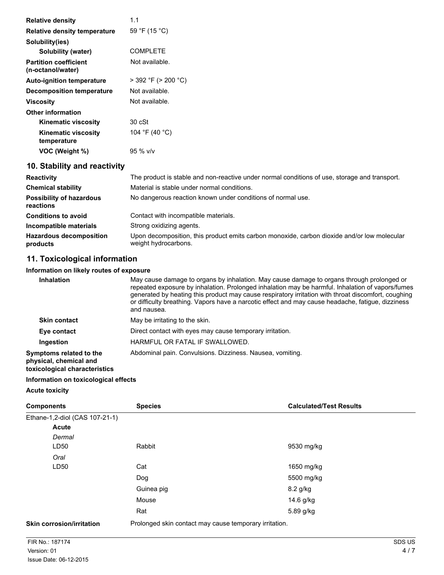| <b>Relative density</b>                           | 1.1                      |
|---------------------------------------------------|--------------------------|
| <b>Relative density temperature</b>               | 59 °F (15 °C)            |
| Solubility(ies)                                   |                          |
| <b>Solubility (water)</b>                         | <b>COMPLETE</b>          |
| <b>Partition coefficient</b><br>(n-octanol/water) | Not available.           |
| <b>Auto-ignition temperature</b>                  | $>$ 392 °F ( $>$ 200 °C) |
| <b>Decomposition temperature</b>                  | Not available.           |
| <b>Viscosity</b>                                  | Not available.           |
| <b>Other information</b>                          |                          |
| <b>Kinematic viscosity</b>                        | 30 cSt                   |
| <b>Kinematic viscosity</b><br>temperature         | 104 °F (40 °C)           |
| VOC (Weight %)                                    | 95 % v/v                 |
| 10 Stability and reactivity                       |                          |

## **10. Stability and reactivity**

| The product is stable and non-reactive under normal conditions of use, storage and transport.                       |  |
|---------------------------------------------------------------------------------------------------------------------|--|
| Material is stable under normal conditions.                                                                         |  |
| No dangerous reaction known under conditions of normal use.                                                         |  |
| Contact with incompatible materials.                                                                                |  |
| Strong oxidizing agents.                                                                                            |  |
| Upon decomposition, this product emits carbon monoxide, carbon dioxide and/or low molecular<br>weight hydrocarbons. |  |
|                                                                                                                     |  |

## **11. Toxicological information**

## **Information on likely routes of exposure**

| <b>Inhalation</b>                                                                  | May cause damage to organs by inhalation. May cause damage to organs through prolonged or<br>repeated exposure by inhalation. Prolonged inhalation may be harmful. Inhalation of vapors/fumes<br>generated by heating this product may cause respiratory irritation with throat discomfort, coughing<br>or difficulty breathing. Vapors have a narcotic effect and may cause headache, fatigue, dizziness<br>and nausea. |
|------------------------------------------------------------------------------------|--------------------------------------------------------------------------------------------------------------------------------------------------------------------------------------------------------------------------------------------------------------------------------------------------------------------------------------------------------------------------------------------------------------------------|
| <b>Skin contact</b>                                                                | May be irritating to the skin.                                                                                                                                                                                                                                                                                                                                                                                           |
| Eye contact                                                                        | Direct contact with eyes may cause temporary irritation.                                                                                                                                                                                                                                                                                                                                                                 |
| Ingestion                                                                          | HARMFUL OR FATAL IF SWALLOWED.                                                                                                                                                                                                                                                                                                                                                                                           |
| Symptoms related to the<br>physical, chemical and<br>toxicological characteristics | Abdominal pain. Convulsions. Dizziness. Nausea, vomiting.                                                                                                                                                                                                                                                                                                                                                                |

#### **Information on toxicological effects**

#### **Acute toxicity**

| <b>Components</b>                | <b>Species</b>                                         | <b>Calculated/Test Results</b> |
|----------------------------------|--------------------------------------------------------|--------------------------------|
| Ethane-1,2-diol (CAS 107-21-1)   |                                                        |                                |
| <b>Acute</b>                     |                                                        |                                |
| Dermal                           |                                                        |                                |
| LD50                             | Rabbit                                                 | 9530 mg/kg                     |
| Oral                             |                                                        |                                |
| LD50                             | Cat                                                    | 1650 mg/kg                     |
|                                  | Dog                                                    | 5500 mg/kg                     |
|                                  | Guinea pig                                             | $8.2$ g/kg                     |
|                                  | Mouse                                                  | 14.6 g/kg                      |
|                                  | Rat                                                    | 5.89 g/kg                      |
| <b>Skin corrosion/irritation</b> | Prolonged skin contact may cause temporary irritation. |                                |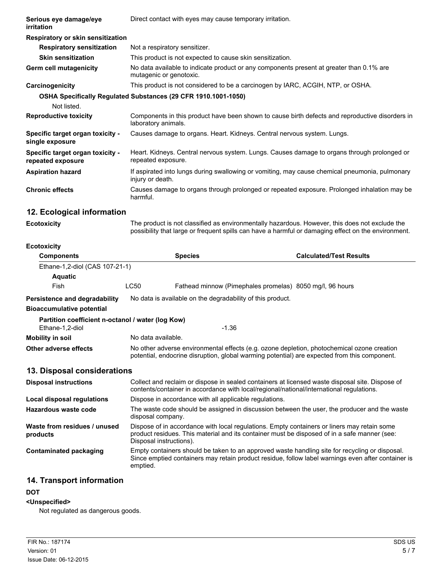| Serious eye damage/eye<br>irritation                  | Direct contact with eyes may cause temporary irritation.                                                               |  |  |
|-------------------------------------------------------|------------------------------------------------------------------------------------------------------------------------|--|--|
| Respiratory or skin sensitization                     |                                                                                                                        |  |  |
| <b>Respiratory sensitization</b>                      | Not a respiratory sensitizer.                                                                                          |  |  |
| <b>Skin sensitization</b>                             | This product is not expected to cause skin sensitization.                                                              |  |  |
| Germ cell mutagenicity                                | No data available to indicate product or any components present at greater than 0.1% are<br>mutagenic or genotoxic.    |  |  |
| Carcinogenicity                                       | This product is not considered to be a carcinogen by IARC, ACGIH, NTP, or OSHA.                                        |  |  |
|                                                       | OSHA Specifically Regulated Substances (29 CFR 1910.1001-1050)                                                         |  |  |
| Not listed.                                           |                                                                                                                        |  |  |
| <b>Reproductive toxicity</b>                          | Components in this product have been shown to cause birth defects and reproductive disorders in<br>laboratory animals. |  |  |
| Specific target organ toxicity -<br>single exposure   | Causes damage to organs. Heart. Kidneys. Central nervous system. Lungs.                                                |  |  |
| Specific target organ toxicity -<br>repeated exposure | Heart. Kidneys. Central nervous system. Lungs. Causes damage to organs through prolonged or<br>repeated exposure.      |  |  |
| <b>Aspiration hazard</b>                              | If aspirated into lungs during swallowing or vomiting, may cause chemical pneumonia, pulmonary<br>injury or death.     |  |  |
| <b>Chronic effects</b>                                | Causes damage to organs through prolonged or repeated exposure. Prolonged inhalation may be<br>harmful.                |  |  |
| 12. Ecological information                            |                                                                                                                        |  |  |

**Ecotoxicity** The product is not classified as environmentally hazardous. However, this does not exclude the possibility that large or frequent spills can have a harmful or damaging effect on the environment.

#### **Ecotoxicity**

| <b>Components</b>                                                    | <b>Calculated/Test Results</b><br><b>Species</b>                                                                                                                                            |         |                                                          |  |  |
|----------------------------------------------------------------------|---------------------------------------------------------------------------------------------------------------------------------------------------------------------------------------------|---------|----------------------------------------------------------|--|--|
| Ethane-1,2-diol (CAS 107-21-1)                                       |                                                                                                                                                                                             |         |                                                          |  |  |
| <b>Aquatic</b>                                                       |                                                                                                                                                                                             |         |                                                          |  |  |
| Fish                                                                 | LC50                                                                                                                                                                                        |         | Fathead minnow (Pimephales promelas) 8050 mg/l, 96 hours |  |  |
| Persistence and degradability                                        | No data is available on the degradability of this product.                                                                                                                                  |         |                                                          |  |  |
| <b>Bioaccumulative potential</b>                                     |                                                                                                                                                                                             |         |                                                          |  |  |
| Partition coefficient n-octanol / water (log Kow)<br>Ethane-1,2-diol |                                                                                                                                                                                             | $-1.36$ |                                                          |  |  |
| <b>Mobility in soil</b>                                              | No data available.                                                                                                                                                                          |         |                                                          |  |  |
| Other adverse effects                                                | No other adverse environmental effects (e.g. ozone depletion, photochemical ozone creation<br>potential, endocrine disruption, global warming potential) are expected from this component.  |         |                                                          |  |  |
| 13. Disposal considerations                                          |                                                                                                                                                                                             |         |                                                          |  |  |
| <b>Disposal instructions</b>                                         | Collect and reclaim or dispose in sealed containers at licensed waste disposal site. Dispose of<br>contents/container in accordance with local/regional/national/international regulations. |         |                                                          |  |  |
| Local disposal regulations                                           | Dispose in accordance with all applicable regulations.                                                                                                                                      |         |                                                          |  |  |
| Hazardous waste code                                                 | The waste code should be assigned in discussion between the user, the producer and the waste<br>disposal company.                                                                           |         |                                                          |  |  |
| Waste from residues / unused                                         | Dispose of in accordance with local regulations. Empty containers or liners may retain some                                                                                                 |         |                                                          |  |  |

**products** product residues. This material and its container must be disposed of in a safe manner (see: Disposal instructions). **Contaminated packaging** Empty containers should be taken to an approved waste handling site for recycling or disposal. Since emptied containers may retain product residue, follow label warnings even after container is

#### **14. Transport information**

#### **DOT**

#### **<Unspecified>**

Not regulated as dangerous goods.

emptied.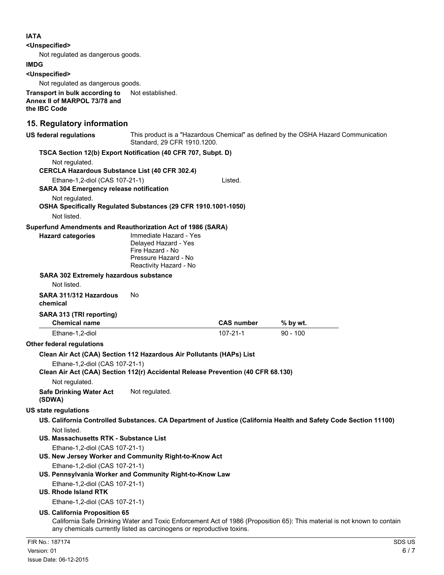### **IATA**

#### **<Unspecified>**

Not regulated as dangerous goods.

**IMDG**

**<Unspecified>**

Not regulated as dangerous goods.

**Transport in bulk according to** Not established. **Annex II of MARPOL 73/78 and the IBC Code**

| 15. Regulatory information                                                       |                                                                                                                      |                   |                                                                                                                          |  |  |
|----------------------------------------------------------------------------------|----------------------------------------------------------------------------------------------------------------------|-------------------|--------------------------------------------------------------------------------------------------------------------------|--|--|
| <b>US federal regulations</b>                                                    | This product is a "Hazardous Chemical" as defined by the OSHA Hazard Communication<br>Standard, 29 CFR 1910.1200.    |                   |                                                                                                                          |  |  |
|                                                                                  | TSCA Section 12(b) Export Notification (40 CFR 707, Subpt. D)                                                        |                   |                                                                                                                          |  |  |
| Not regulated.                                                                   | <b>CERCLA Hazardous Substance List (40 CFR 302.4)</b>                                                                |                   |                                                                                                                          |  |  |
| Ethane-1,2-diol (CAS 107-21-1)<br><b>SARA 304 Emergency release notification</b> |                                                                                                                      | Listed.           |                                                                                                                          |  |  |
| Not regulated.                                                                   | OSHA Specifically Regulated Substances (29 CFR 1910.1001-1050)                                                       |                   |                                                                                                                          |  |  |
| Not listed.                                                                      |                                                                                                                      |                   |                                                                                                                          |  |  |
| Superfund Amendments and Reauthorization Act of 1986 (SARA)                      |                                                                                                                      |                   |                                                                                                                          |  |  |
| <b>Hazard categories</b>                                                         | Immediate Hazard - Yes<br>Delayed Hazard - Yes<br>Fire Hazard - No<br>Pressure Hazard - No<br>Reactivity Hazard - No |                   |                                                                                                                          |  |  |
| <b>SARA 302 Extremely hazardous substance</b><br>Not listed.                     |                                                                                                                      |                   |                                                                                                                          |  |  |
| SARA 311/312 Hazardous<br>chemical                                               | No                                                                                                                   |                   |                                                                                                                          |  |  |
|                                                                                  |                                                                                                                      |                   |                                                                                                                          |  |  |
| SARA 313 (TRI reporting)<br><b>Chemical name</b>                                 |                                                                                                                      | <b>CAS number</b> | $%$ by wt.                                                                                                               |  |  |
| Ethane-1,2-diol                                                                  |                                                                                                                      | $107 - 21 - 1$    | $90 - 100$                                                                                                               |  |  |
| Other federal regulations                                                        |                                                                                                                      |                   |                                                                                                                          |  |  |
|                                                                                  | Clean Air Act (CAA) Section 112 Hazardous Air Pollutants (HAPs) List                                                 |                   |                                                                                                                          |  |  |
| Ethane-1,2-diol (CAS 107-21-1)                                                   | Clean Air Act (CAA) Section 112(r) Accidental Release Prevention (40 CFR 68.130)                                     |                   |                                                                                                                          |  |  |
| Not regulated.                                                                   |                                                                                                                      |                   |                                                                                                                          |  |  |
| <b>Safe Drinking Water Act</b><br>(SDWA)                                         | Not regulated.                                                                                                       |                   |                                                                                                                          |  |  |
| <b>US state regulations</b>                                                      |                                                                                                                      |                   |                                                                                                                          |  |  |
|                                                                                  |                                                                                                                      |                   | US. California Controlled Substances. CA Department of Justice (California Health and Safety Code Section 11100)         |  |  |
| Not listed.                                                                      |                                                                                                                      |                   |                                                                                                                          |  |  |
| US. Massachusetts RTK - Substance List                                           |                                                                                                                      |                   |                                                                                                                          |  |  |
| Ethane-1,2-diol (CAS 107-21-1)                                                   | US. New Jersey Worker and Community Right-to-Know Act                                                                |                   |                                                                                                                          |  |  |
| Ethane-1,2-diol (CAS 107-21-1)                                                   | US. Pennsylvania Worker and Community Right-to-Know Law                                                              |                   |                                                                                                                          |  |  |
| Ethane-1,2-diol (CAS 107-21-1)<br><b>US. Rhode Island RTK</b>                    |                                                                                                                      |                   |                                                                                                                          |  |  |
| Ethane-1,2-diol (CAS 107-21-1)                                                   |                                                                                                                      |                   |                                                                                                                          |  |  |
| US. California Proposition 65                                                    | any chemicals currently listed as carcinogens or reproductive toxins.                                                |                   | California Safe Drinking Water and Toxic Enforcement Act of 1986 (Proposition 65): This material is not known to contain |  |  |